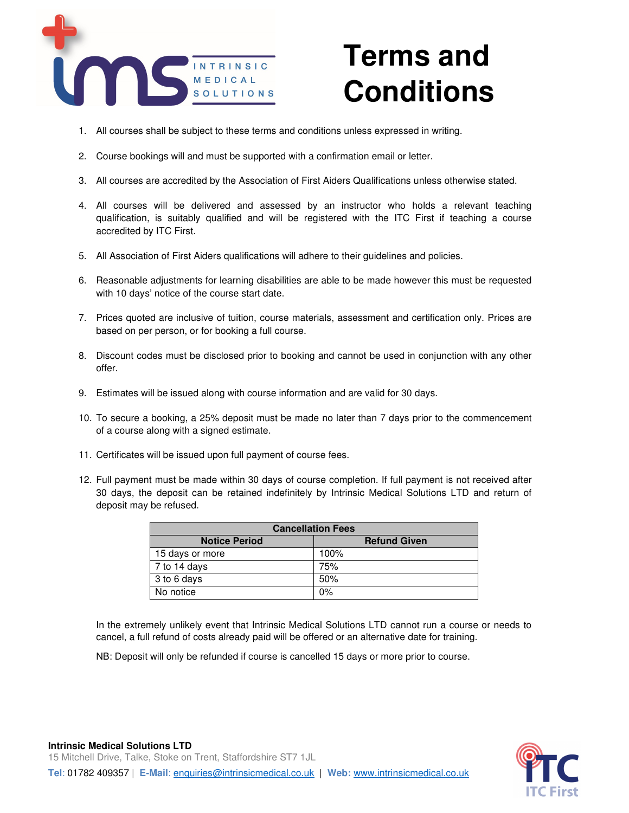

## **Terms and Conditions**

- 1. All courses shall be subject to these terms and conditions unless expressed in writing.
- 2. Course bookings will and must be supported with a confirmation email or letter.
- 3. All courses are accredited by the Association of First Aiders Qualifications unless otherwise stated.
- 4. All courses will be delivered and assessed by an instructor who holds a relevant teaching qualification, is suitably qualified and will be registered with the ITC First if teaching a course accredited by ITC First.
- 5. All Association of First Aiders qualifications will adhere to their guidelines and policies.
- 6. Reasonable adjustments for learning disabilities are able to be made however this must be requested with 10 days' notice of the course start date.
- 7. Prices quoted are inclusive of tuition, course materials, assessment and certification only. Prices are based on per person, or for booking a full course.
- 8. Discount codes must be disclosed prior to booking and cannot be used in conjunction with any other offer.
- 9. Estimates will be issued along with course information and are valid for 30 days.
- 10. To secure a booking, a 25% deposit must be made no later than 7 days prior to the commencement of a course along with a signed estimate.
- 11. Certificates will be issued upon full payment of course fees.
- 12. Full payment must be made within 30 days of course completion. If full payment is not received after 30 days, the deposit can be retained indefinitely by Intrinsic Medical Solutions LTD and return of deposit may be refused.

| <b>Cancellation Fees</b> |                     |  |
|--------------------------|---------------------|--|
| <b>Notice Period</b>     | <b>Refund Given</b> |  |
| 15 days or more          | 100%                |  |
| 7 to 14 days             | 75%                 |  |
| 3 to 6 days              | 50%                 |  |
| No notice                | $0\%$               |  |

In the extremely unlikely event that Intrinsic Medical Solutions LTD cannot run a course or needs to cancel, a full refund of costs already paid will be offered or an alternative date for training.

NB: Deposit will only be refunded if course is cancelled 15 days or more prior to course.